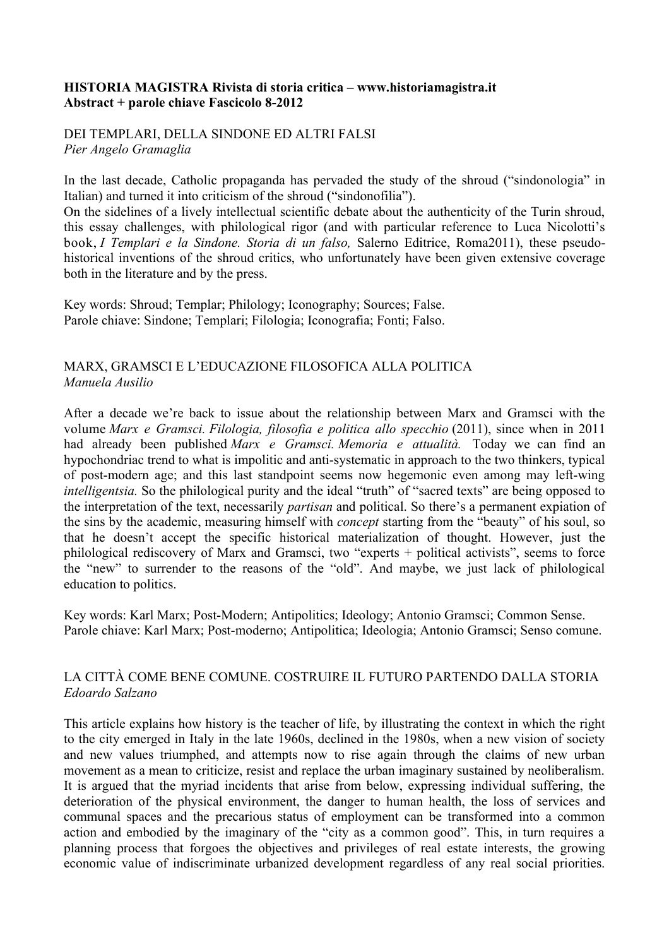#### **HISTORIA MAGISTRA Rivista di storia critica – www.historiamagistra.it Abstract + parole chiave Fascicolo 8-2012**

DEI TEMPLARI, DELLA SINDONE ED ALTRI FALSI *Pier Angelo Gramaglia*

In the last decade, Catholic propaganda has pervaded the study of the shroud ("sindonologia" in Italian) and turned it into criticism of the shroud ("sindonofilia").

On the sidelines of a lively intellectual scientific debate about the authenticity of the Turin shroud, this essay challenges, with philological rigor (and with particular reference to Luca Nicolotti's book, *I Templari e la Sindone. Storia di un falso,* Salerno Editrice, Roma2011), these pseudohistorical inventions of the shroud critics, who unfortunately have been given extensive coverage both in the literature and by the press.

Key words: Shroud; Templar; Philology; Iconography; Sources; False. Parole chiave: Sindone; Templari; Filologia; Iconografia; Fonti; Falso.

# MARX, GRAMSCI E L'EDUCAZIONE FILOSOFICA ALLA POLITICA *Manuela Ausilio*

After a decade we're back to issue about the relationship between Marx and Gramsci with the volume *Marx e Gramsci. Filologia, filosofia e politica allo specchio* (2011), since when in 2011 had already been published *Marx e Gramsci. Memoria e attualità.* Today we can find an hypochondriac trend to what is impolitic and anti-systematic in approach to the two thinkers, typical of post-modern age; and this last standpoint seems now hegemonic even among may left-wing *intelligentsia*. So the philological purity and the ideal "truth" of "sacred texts" are being opposed to the interpretation of the text, necessarily *partisan* and political. So there's a permanent expiation of the sins by the academic, measuring himself with *concept* starting from the "beauty" of his soul, so that he doesn't accept the specific historical materialization of thought. However, just the philological rediscovery of Marx and Gramsci, two "experts + political activists", seems to force the "new" to surrender to the reasons of the "old". And maybe, we just lack of philological education to politics.

Key words: Karl Marx; Post-Modern; Antipolitics; Ideology; Antonio Gramsci; Common Sense. Parole chiave: Karl Marx; Post-moderno; Antipolitica; Ideologia; Antonio Gramsci; Senso comune.

# LA CITTÀ COME BENE COMUNE. COSTRUIRE IL FUTURO PARTENDO DALLA STORIA *Edoardo Salzano*

This article explains how history is the teacher of life, by illustrating the context in which the right to the city emerged in Italy in the late 1960s, declined in the 1980s, when a new vision of society and new values triumphed, and attempts now to rise again through the claims of new urban movement as a mean to criticize, resist and replace the urban imaginary sustained by neoliberalism. It is argued that the myriad incidents that arise from below, expressing individual suffering, the deterioration of the physical environment, the danger to human health, the loss of services and communal spaces and the precarious status of employment can be transformed into a common action and embodied by the imaginary of the "city as a common good". This, in turn requires a planning process that forgoes the objectives and privileges of real estate interests, the growing economic value of indiscriminate urbanized development regardless of any real social priorities.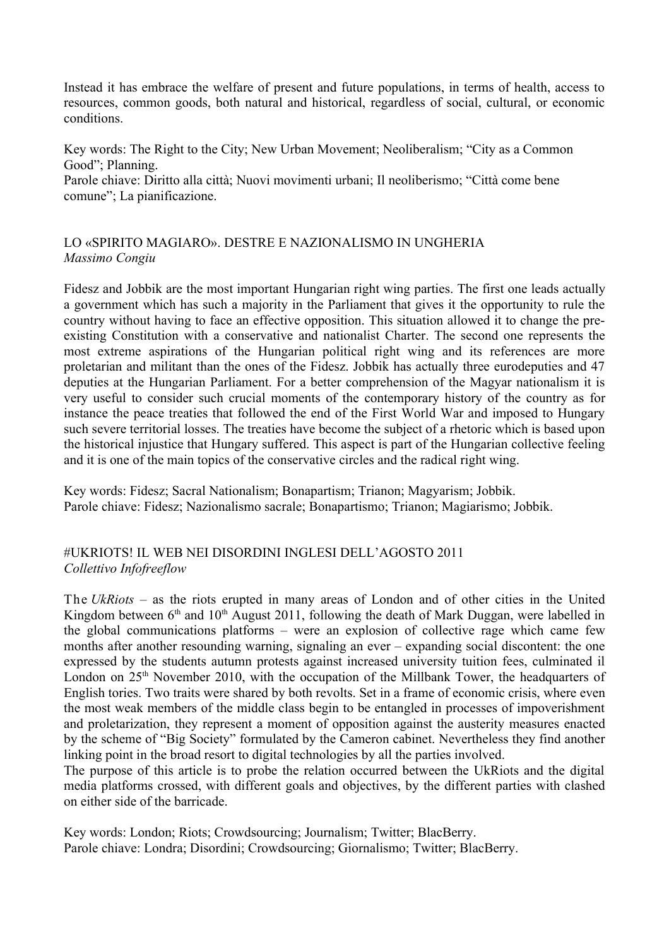Instead it has embrace the welfare of present and future populations, in terms of health, access to resources, common goods, both natural and historical, regardless of social, cultural, or economic conditions.

Key words: The Right to the City; New Urban Movement; Neoliberalism; "City as a Common Good"; Planning.

Parole chiave: Diritto alla città; Nuovi movimenti urbani; Il neoliberismo; "Città come bene comune"; La pianificazione.

### LO «SPIRITO MAGIARO». DESTRE E NAZIONALISMO IN UNGHERIA *Massimo Congiu*

Fidesz and Jobbik are the most important Hungarian right wing parties. The first one leads actually a government which has such a majority in the Parliament that gives it the opportunity to rule the country without having to face an effective opposition. This situation allowed it to change the preexisting Constitution with a conservative and nationalist Charter. The second one represents the most extreme aspirations of the Hungarian political right wing and its references are more proletarian and militant than the ones of the Fidesz. Jobbik has actually three eurodeputies and 47 deputies at the Hungarian Parliament. For a better comprehension of the Magyar nationalism it is very useful to consider such crucial moments of the contemporary history of the country as for instance the peace treaties that followed the end of the First World War and imposed to Hungary such severe territorial losses. The treaties have become the subject of a rhetoric which is based upon the historical injustice that Hungary suffered. This aspect is part of the Hungarian collective feeling and it is one of the main topics of the conservative circles and the radical right wing.

Key words: Fidesz; Sacral Nationalism; Bonapartism; Trianon; Magyarism; Jobbik. Parole chiave: Fidesz; Nazionalismo sacrale; Bonapartismo; Trianon; Magiarismo; Jobbik.

#### #UKRIOTS! IL WEB NEI DISORDINI INGLESI DELL'AGOSTO 2011 *Collettivo Infofreeflow*

The *UkRiots* – as the riots erupted in many areas of London and of other cities in the United Kingdom between  $6<sup>th</sup>$  and  $10<sup>th</sup>$  August 2011, following the death of Mark Duggan, were labelled in the global communications platforms – were an explosion of collective rage which came few months after another resounding warning, signaling an ever – expanding social discontent: the one expressed by the students autumn protests against increased university tuition fees, culminated il London on 25<sup>th</sup> November 2010, with the occupation of the Millbank Tower, the headquarters of English tories. Two traits were shared by both revolts. Set in a frame of economic crisis, where even the most weak members of the middle class begin to be entangled in processes of impoverishment and proletarization, they represent a moment of opposition against the austerity measures enacted by the scheme of "Big Society" formulated by the Cameron cabinet. Nevertheless they find another linking point in the broad resort to digital technologies by all the parties involved.

The purpose of this article is to probe the relation occurred between the UkRiots and the digital media platforms crossed, with different goals and objectives, by the different parties with clashed on either side of the barricade.

Key words: London; Riots; Crowdsourcing; Journalism; Twitter; BlacBerry. Parole chiave: Londra; Disordini; Crowdsourcing; Giornalismo; Twitter; BlacBerry.